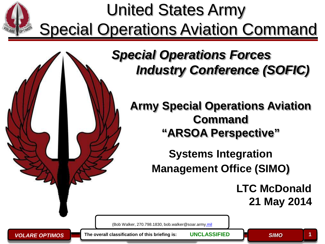



## *Special Operations Forces Industry Conference (SOFIC)*

**Army Special Operations Aviation Command "ARSOA Perspective"**

> **Systems Integration Management Office (SIMO)**

> > **LTC McDonald 21 May 2014**

(Bob Walker, 270.798.1830, bob.walker@soar.arm[y.mil](mailto:derrick.coxjr@soc.mil)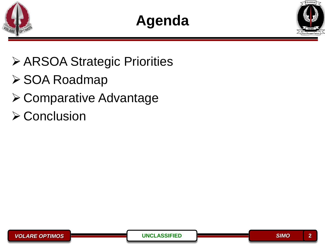



- **≻ ARSOA Strategic Priorities**
- **≻ SOA Roadmap**
- Comparative Advantage
- $\triangleright$  Conclusion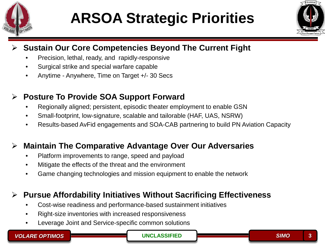

# **ARSOA Strategic Priorities**



#### **Sustain Our Core Competencies Beyond The Current Fight**

- Precision, lethal, ready, and rapidly-responsive
- Surgical strike and special warfare capable
- Anytime Anywhere, Time on Target +/- 30 Secs

### **Posture To Provide SOA Support Forward**

- Regionally aligned; persistent, episodic theater employment to enable GSN
- Small-footprint, low-signature, scalable and tailorable (HAF, UAS, NSRW)
- Results-based AvFid engagements and SOA-CAB partnering to build PN Aviation Capacity

#### **Maintain The Comparative Advantage Over Our Adversaries**

- Platform improvements to range, speed and payload
- Mitigate the effects of the threat and the environment
- Game changing technologies and mission equipment to enable the network

#### **Pursue Affordability Initiatives Without Sacrificing Effectiveness**

- Cost-wise readiness and performance-based sustainment initiatives
- Right-size inventories with increased responsiveness
- Leverage Joint and Service-specific common solutions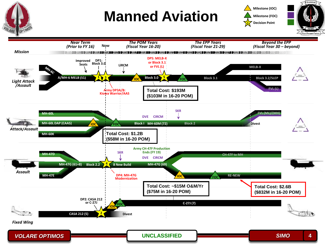

## **Manned Aviation**





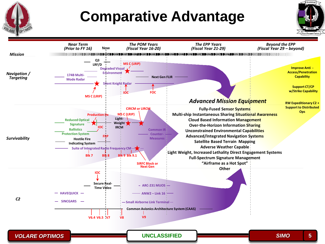## **Comparative Advantage**





*VOLARE OPTIMOS* **5**

**UNCLASSIFIED** *SIMO*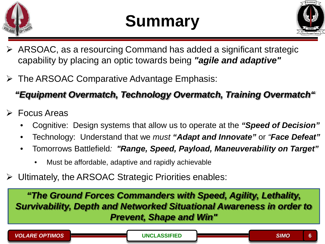



- ARSOAC, as a resourcing Command has added a significant strategic capability by placing an optic towards being *"agile and adaptive"*
- > The ARSOAC Comparative Advantage Emphasis:

## *"Equipment Overmatch, Technology Overmatch, Training Overmatch"*

- $\triangleright$  Focus Areas
	- Cognitive: Design systems that allow us to operate at the *"Speed of Decision"*
	- Technology: Understand that we *must "Adapt and Innovate"* or *"Face Defeat"*
	- Tomorrows Battlefield*: "Range, Speed, Payload, Maneuverability on Target"*
		- Must be affordable, adaptive and rapidly achievable
- Ultimately, the ARSOAC Strategic Priorities enables:

*"The Ground Forces Commanders with Speed, Agility, Lethality, Survivability, Depth and Networked Situational Awareness in order to Prevent, Shape and Win"*